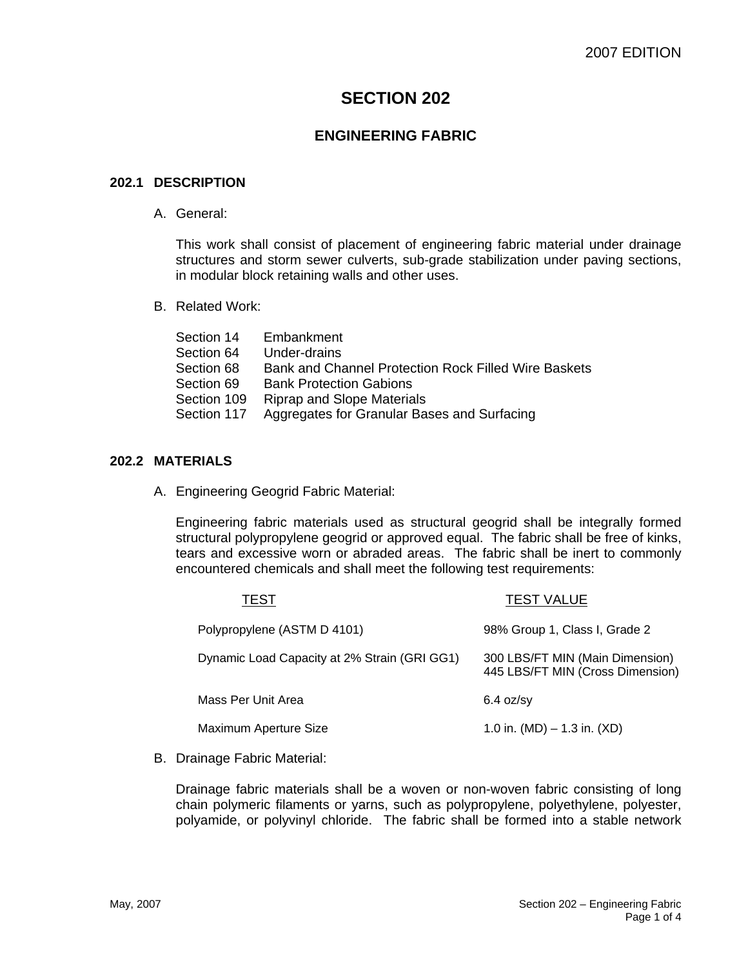# **SECTION 202**

# **ENGINEERING FABRIC**

#### **202.1 DESCRIPTION**

A. General:

This work shall consist of placement of engineering fabric material under drainage structures and storm sewer culverts, sub-grade stabilization under paving sections, in modular block retaining walls and other uses.

B. Related Work:

| Section 14  | Embankment                                           |
|-------------|------------------------------------------------------|
| Section 64  | Under-drains                                         |
| Section 68  | Bank and Channel Protection Rock Filled Wire Baskets |
| Section 69  | <b>Bank Protection Gabions</b>                       |
| Section 109 | <b>Riprap and Slope Materials</b>                    |
| Section 117 | Aggregates for Granular Bases and Surfacing          |
|             |                                                      |

### **202.2 MATERIALS**

A. Engineering Geogrid Fabric Material:

Engineering fabric materials used as structural geogrid shall be integrally formed structural polypropylene geogrid or approved equal. The fabric shall be free of kinks, tears and excessive worn or abraded areas. The fabric shall be inert to commonly encountered chemicals and shall meet the following test requirements:

| TEST                                         | <b>TEST VALUE</b>                                                   |
|----------------------------------------------|---------------------------------------------------------------------|
| Polypropylene (ASTM D 4101)                  | 98% Group 1, Class I, Grade 2                                       |
| Dynamic Load Capacity at 2% Strain (GRI GG1) | 300 LBS/FT MIN (Main Dimension)<br>445 LBS/FT MIN (Cross Dimension) |
| Mass Per Unit Area                           | $6.4$ oz/sy                                                         |
| Maximum Aperture Size                        | 1.0 in. (MD) $-$ 1.3 in. (XD)                                       |
|                                              |                                                                     |

B. Drainage Fabric Material:

Drainage fabric materials shall be a woven or non-woven fabric consisting of long chain polymeric filaments or yarns, such as polypropylene, polyethylene, polyester, polyamide, or polyvinyl chloride. The fabric shall be formed into a stable network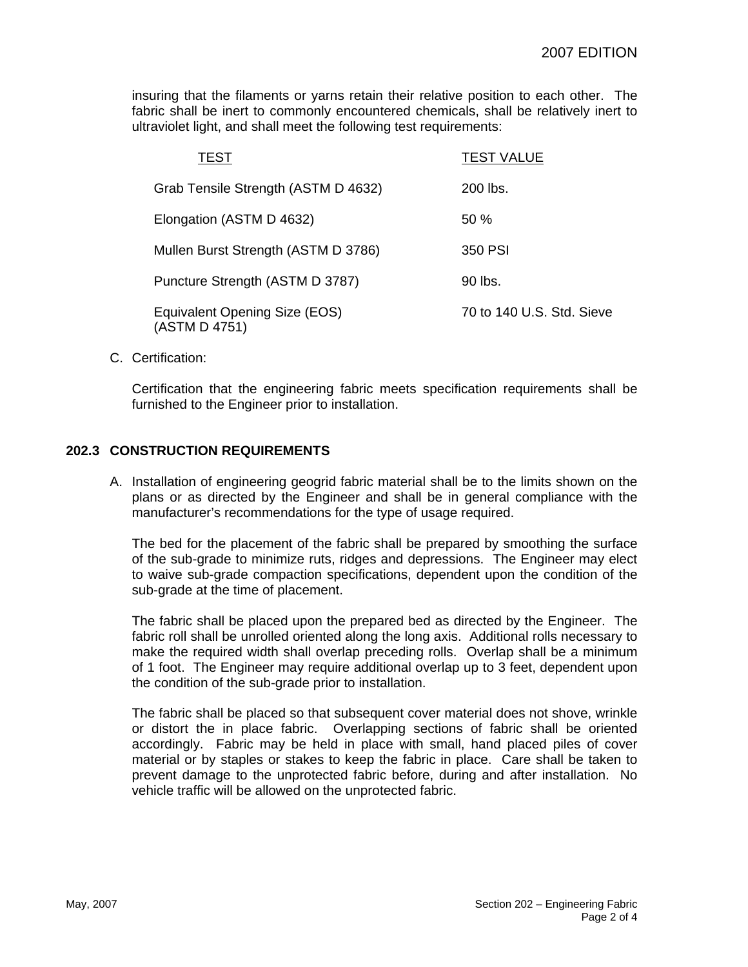insuring that the filaments or yarns retain their relative position to each other. The fabric shall be inert to commonly encountered chemicals, shall be relatively inert to ultraviolet light, and shall meet the following test requirements:

| TEST                                           | <b>TEST VALUE</b>         |
|------------------------------------------------|---------------------------|
| Grab Tensile Strength (ASTM D 4632)            | 200 lbs.                  |
| Elongation (ASTM D 4632)                       | 50%                       |
| Mullen Burst Strength (ASTM D 3786)            | 350 PSI                   |
| Puncture Strength (ASTM D 3787)                | 90 lbs.                   |
| Equivalent Opening Size (EOS)<br>(ASTM D 4751) | 70 to 140 U.S. Std. Sieve |

C. Certification:

Certification that the engineering fabric meets specification requirements shall be furnished to the Engineer prior to installation.

#### **202.3 CONSTRUCTION REQUIREMENTS**

A. Installation of engineering geogrid fabric material shall be to the limits shown on the plans or as directed by the Engineer and shall be in general compliance with the manufacturer's recommendations for the type of usage required.

The bed for the placement of the fabric shall be prepared by smoothing the surface of the sub-grade to minimize ruts, ridges and depressions. The Engineer may elect to waive sub-grade compaction specifications, dependent upon the condition of the sub-grade at the time of placement.

The fabric shall be placed upon the prepared bed as directed by the Engineer. The fabric roll shall be unrolled oriented along the long axis. Additional rolls necessary to make the required width shall overlap preceding rolls. Overlap shall be a minimum of 1 foot. The Engineer may require additional overlap up to 3 feet, dependent upon the condition of the sub-grade prior to installation.

The fabric shall be placed so that subsequent cover material does not shove, wrinkle or distort the in place fabric. Overlapping sections of fabric shall be oriented accordingly. Fabric may be held in place with small, hand placed piles of cover material or by staples or stakes to keep the fabric in place. Care shall be taken to prevent damage to the unprotected fabric before, during and after installation. No vehicle traffic will be allowed on the unprotected fabric.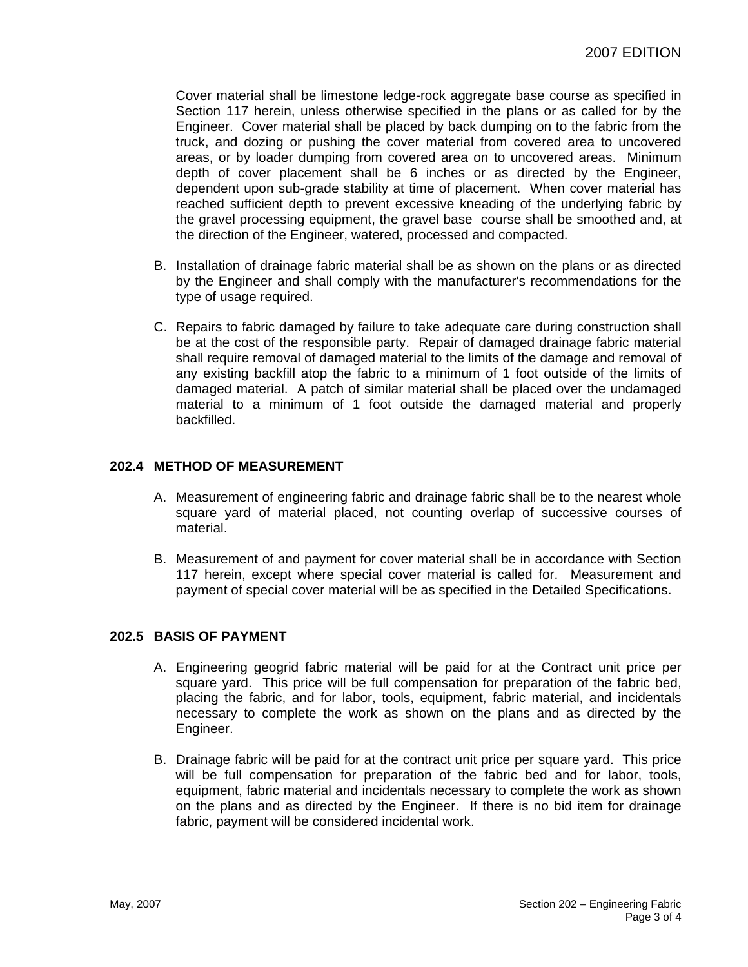Cover material shall be limestone ledge-rock aggregate base course as specified in Section 117 herein, unless otherwise specified in the plans or as called for by the Engineer. Cover material shall be placed by back dumping on to the fabric from the truck, and dozing or pushing the cover material from covered area to uncovered areas, or by loader dumping from covered area on to uncovered areas. Minimum depth of cover placement shall be 6 inches or as directed by the Engineer, dependent upon sub-grade stability at time of placement. When cover material has reached sufficient depth to prevent excessive kneading of the underlying fabric by the gravel processing equipment, the gravel base course shall be smoothed and, at the direction of the Engineer, watered, processed and compacted.

- B. Installation of drainage fabric material shall be as shown on the plans or as directed by the Engineer and shall comply with the manufacturer's recommendations for the type of usage required.
- C. Repairs to fabric damaged by failure to take adequate care during construction shall be at the cost of the responsible party. Repair of damaged drainage fabric material shall require removal of damaged material to the limits of the damage and removal of any existing backfill atop the fabric to a minimum of 1 foot outside of the limits of damaged material. A patch of similar material shall be placed over the undamaged material to a minimum of 1 foot outside the damaged material and properly backfilled.

### **202.4 METHOD OF MEASUREMENT**

- A. Measurement of engineering fabric and drainage fabric shall be to the nearest whole square yard of material placed, not counting overlap of successive courses of material.
- B. Measurement of and payment for cover material shall be in accordance with Section 117 herein, except where special cover material is called for. Measurement and payment of special cover material will be as specified in the Detailed Specifications.

### **202.5 BASIS OF PAYMENT**

- A. Engineering geogrid fabric material will be paid for at the Contract unit price per square yard. This price will be full compensation for preparation of the fabric bed, placing the fabric, and for labor, tools, equipment, fabric material, and incidentals necessary to complete the work as shown on the plans and as directed by the Engineer.
- B. Drainage fabric will be paid for at the contract unit price per square yard. This price will be full compensation for preparation of the fabric bed and for labor, tools, equipment, fabric material and incidentals necessary to complete the work as shown on the plans and as directed by the Engineer. If there is no bid item for drainage fabric, payment will be considered incidental work.